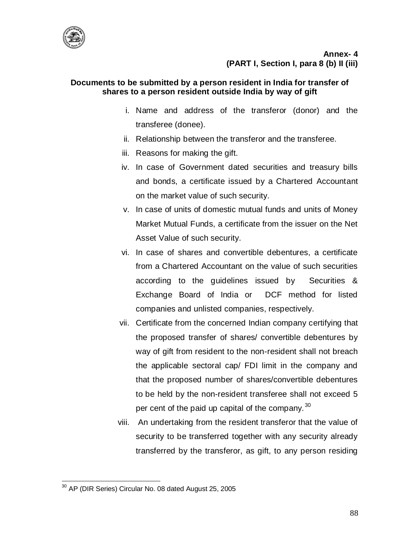

## **Documents to be submitted by a person resident in India for transfer of shares to a person resident outside India by way of gift**

- i. Name and address of the transferor (donor) and the transferee (donee).
- ii. Relationship between the transferor and the transferee.
- iii. Reasons for making the gift.
- iv. In case of Government dated securities and treasury bills and bonds, a certificate issued by a Chartered Accountant on the market value of such security.
- v. In case of units of domestic mutual funds and units of Money Market Mutual Funds, a certificate from the issuer on the Net Asset Value of such security.
- vi. In case of shares and convertible debentures, a certificate from a Chartered Accountant on the value of such securities according to the guidelines issued by Securities & Exchange Board of India or DCF method for listed companies and unlisted companies, respectively.
- vii. Certificate from the concerned Indian company certifying that the proposed transfer of shares/ convertible debentures by way of gift from resident to the non-resident shall not breach the applicable sectoral cap/ FDI limit in the company and that the proposed number of shares/convertible debentures to be held by the non-resident transferee shall not exceed 5 per cent of the paid up capital of the company.  $30$
- viii. An undertaking from the resident transferor that the value of security to be transferred together with any security already transferred by the transferor, as gift, to any person residing

 $\overline{a}$  $30$  AP (DIR Series) Circular No. 08 dated August 25, 2005